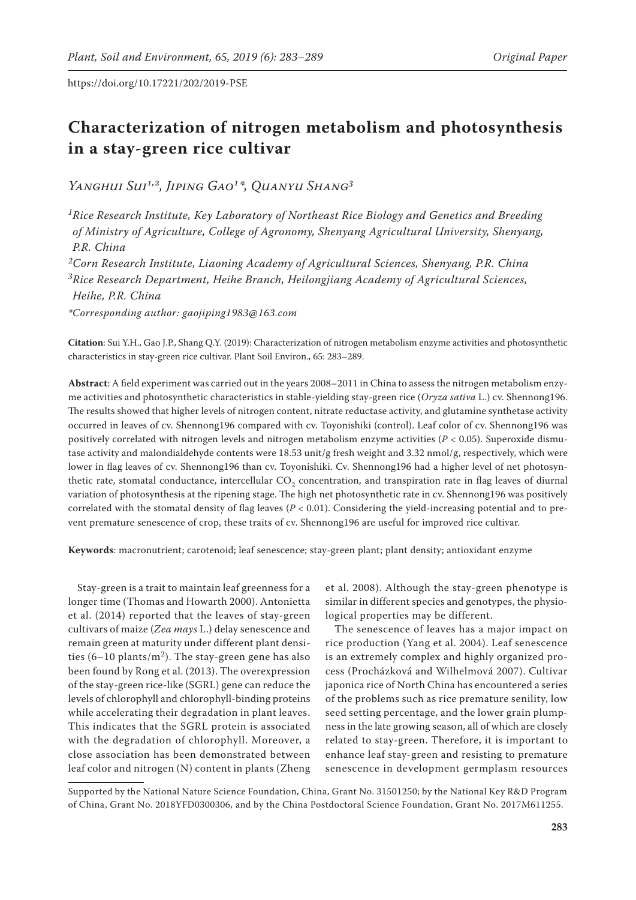# **Characterization of nitrogen metabolism and photosynthesis in a stay-green rice cultivar**

*Yanghui Sui1,2, Jiping Gao1\*, Quanyu Shang3*

*1Rice Research Institute, Key Laboratory of Northeast Rice Biology and Genetics and Breeding of Ministry of Agriculture, College of Agronomy, Shenyang Agricultural University, Shenyang, P.R. China*

*2Corn Research Institute, Liaoning Academy of Agricultural Sciences, Shenyang, P.R. China 3Rice Research Department, Heihe Branch, Heilongjiang Academy of Agricultural Sciences, Heihe, P.R. China*

*\*Corresponding author: gaojiping1983@163.com*

**Citation**: Sui Y.H., Gao J.P., Shang Q.Y. (2019): Characterization of nitrogen metabolism enzyme activities and photosynthetic characteristics in stay-green rice cultivar. Plant Soil Environ., 65: 283–289.

**Abstract**: A field experiment was carried out in the years 2008–2011 in China to assess the nitrogen metabolism enzyme activities and photosynthetic characteristics in stable-yielding stay-green rice (*Oryza sativa* L.) cv. Shennong196. The results showed that higher levels of nitrogen content, nitrate reductase activity, and glutamine synthetase activity occurred in leaves of cv. Shennong196 compared with cv. Toyonishiki (control). Leaf color of cv. Shennong196 was positively correlated with nitrogen levels and nitrogen metabolism enzyme activities (*P* < 0.05). Superoxide dismutase activity and malondialdehyde contents were 18.53 unit/g fresh weight and 3.32 nmol/g, respectively, which were lower in flag leaves of cv. Shennong196 than cv. Toyonishiki. Cv. Shennong196 had a higher level of net photosynthetic rate, stomatal conductance, intercellular  $CO<sub>2</sub>$  concentration, and transpiration rate in flag leaves of diurnal variation of photosynthesis at the ripening stage. The high net photosynthetic rate in cv. Shennong196 was positively correlated with the stomatal density of flag leaves ( $P < 0.01$ ). Considering the yield-increasing potential and to prevent premature senescence of crop, these traits of cv. Shennong196 are useful for improved rice cultivar.

**Keywords**: macronutrient; carotenoid; leaf senescence; stay-green plant; plant density; antioxidant enzyme

Stay-green is a trait to maintain leaf greenness for a longer time (Thomas and Howarth 2000). Antonietta et al. (2014) reported that the leaves of stay-green cultivars of maize (*Zea mays* L.) delay senescence and remain green at maturity under different plant densities (6–10 plants/m<sup>2</sup>). The stay-green gene has also been found by Rong et al. (2013). The overexpression of the stay-green rice-like (SGRL) gene can reduce the levels of chlorophyll and chlorophyll-binding proteins while accelerating their degradation in plant leaves. This indicates that the SGRL protein is associated with the degradation of chlorophyll. Moreover, a close association has been demonstrated between leaf color and nitrogen (N) content in plants (Zheng

et al. 2008). Although the stay-green phenotype is similar in different species and genotypes, the physiological properties may be different.

The senescence of leaves has a major impact on rice production (Yang et al. 2004). Leaf senescence is an extremely complex and highly organized process (Procházková and Wilhelmová 2007). Cultivar japonica rice of North China has encountered a series of the problems such as rice premature senility, low seed setting percentage, and the lower grain plumpness in the late growing season, all of which are closely related to stay-green. Therefore, it is important to enhance leaf stay-green and resisting to premature senescence in development germplasm resources

Supported by the National Nature Science Foundation, China, Grant No. 31501250; by the National Key R&D Program of China, Grant No. 2018YFD0300306, and by the China Postdoctoral Science Foundation, Grant No. 2017M611255.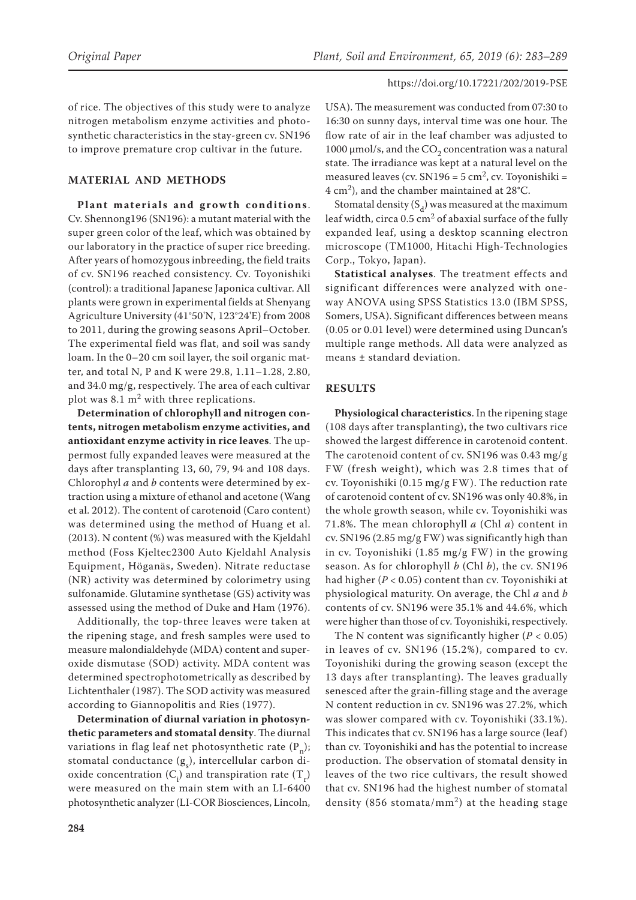of rice. The objectives of this study were to analyze nitrogen metabolism enzyme activities and photosynthetic characteristics in the stay-green cv. SN196 to improve premature crop cultivar in the future.

# **MATERIAL AND METHODS**

**Plant materials and growth conditions** . Cv. Shennong196 (SN196): a mutant material with the super green color of the leaf, which was obtained by our laboratory in the practice of super rice breeding. After years of homozygous inbreeding, the field traits of cv. SN196 reached consistency. Cv. Toyonishiki (control): a traditional Japanese Japonica cultivar. All plants were grown in experimental fields at Shenyang Agriculture University (41°50'N, 123°24'E) from 2008 to 2011, during the growing seasons April–October. The experimental field was flat, and soil was sandy loam. In the 0–20 cm soil layer, the soil organic matter, and total N, P and K were 29.8, 1.11–1.28, 2.80, and 34.0 mg/g, respectively. The area of each cultivar plot was 8.1  $m<sup>2</sup>$  with three replications.

**Determination of chlorophyll and nitrogen contents, nitrogen metabolism enzyme activities, and antioxidant enzyme activity in rice leaves**. The uppermost fully expanded leaves were measured at the days after transplanting 13, 60, 79, 94 and 108 days. Chlorophyl *a* and *b* contents were determined by extraction using a mixture of ethanol and acetone (Wang et al. 2012). The content of carotenoid (Caro content) was determined using the method of Huang et al. (2013). N content (%) was measured with the Kjeldahl method (Foss Kjeltec2300 Auto Kjeldahl Analysis Equipment, Höganäs, Sweden). Nitrate reductase (NR) activity was determined by colorimetry using sulfonamide. Glutamine synthetase (GS) activity was assessed using the method of Duke and Ham (1976).

Additionally, the top-three leaves were taken at the ripening stage, and fresh samples were used to measure malondialdehyde (MDA) content and superoxide dismutase (SOD) activity. MDA content was determined spectrophotometrically as described by Lichtenthaler (1987). The SOD activity was measured according to Giannopolitis and Ries (1977).

**Determination of diurnal variation in photosynthetic parameters and stomatal density**. The diurnal variations in flag leaf net photosynthetic rate  $(P_n)$ ; stomatal conductance  $(g_{s})$ , intercellular carbon dioxide concentration  $(C_i)$  and transpiration rate  $(T_r)$ were measured on the main stem with an LI-6400 photosynthetic analyzer (LI-COR Biosciences, Lincoln,

USA). The measurement was conducted from 07:30 to 16:30 on sunny days, interval time was one hour. The flow rate of air in the leaf chamber was adjusted to 1000  $\mu$ mol/s, and the CO<sub>2</sub> concentration was a natural state. The irradiance was kept at a natural level on the measured leaves (cv.  $SN196 = 5$  cm<sup>2</sup>, cv. Toyonishiki =  $4 \text{ cm}^2$ ), and the chamber maintained at 28°C.

Stomatal density  $(S_d)$  was measured at the maximum leaf width, circa  $0.5 \text{ cm}^2$  of abaxial surface of the fully expanded leaf, using a desktop scanning electron microscope (TM1000, Hitachi High-Technologies Corp., Tokyo, Japan).

**Statistical analyses**. The treatment effects and significant differences were analyzed with oneway ANOVA using SPSS Statistics 13.0 (IBM SPSS, Somers, USA). Significant differences between means (0.05 or 0.01 level) were determined using Duncan's multiple range methods. All data were analyzed as means ± standard deviation.

# **RESULTS**

**Physiological characteristics**. In the ripening stage (108 days after transplanting), the two cultivars rice showed the largest difference in carotenoid content. The carotenoid content of cv. SN196 was 0.43 mg/g FW (fresh weight), which was 2.8 times that of cv. Toyonishiki (0.15 mg/g FW). The reduction rate of carotenoid content of cv. SN196 was only 40.8%, in the whole growth season, while cv. Toyonishiki was 71.8%. The mean chlorophyll *a* (Chl *a*) content in cv. SN196 (2.85 mg/g FW) was significantly high than in cv. Toyonishiki (1.85 mg/g FW) in the growing season. As for chlorophyll *b* (Chl *b*), the cv. SN196 had higher (*P* < 0.05) content than cv. Toyonishiki at physiological maturity. On average, the Chl *a* and *b* contents of cv. SN196 were 35.1% and 44.6%, which were higher than those of cv. Toyonishiki, respectively.

The N content was significantly higher  $(P < 0.05)$ in leaves of cv. SN196 (15.2%), compared to cv. Toyonishiki during the growing season (except the 13 days after transplanting). The leaves gradually senesced after the grain-filling stage and the average N content reduction in cv. SN196 was 27.2%, which was slower compared with cv. Toyonishiki (33.1%). This indicates that cv. SN196 has a large source (leaf ) than cv. Toyonishiki and has the potential to increase production. The observation of stomatal density in leaves of the two rice cultivars, the result showed that cv. SN196 had the highest number of stomatal density (856 stomata/mm<sup>2</sup>) at the heading stage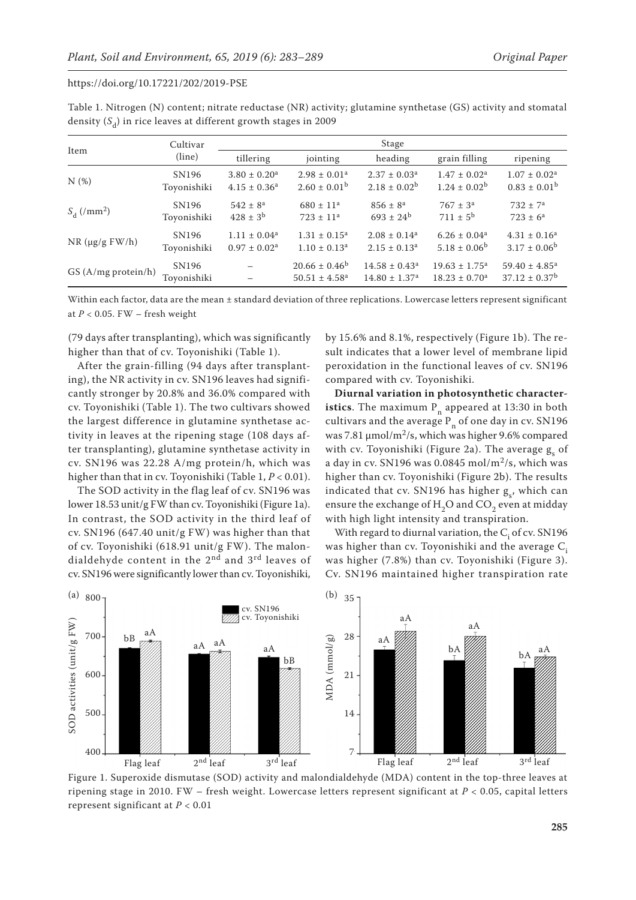|                             | Cultivar                         | Stage                        |                                                     |                                                     |                                                           |                                                   |  |  |
|-----------------------------|----------------------------------|------------------------------|-----------------------------------------------------|-----------------------------------------------------|-----------------------------------------------------------|---------------------------------------------------|--|--|
| Item                        | (line)                           | tillering                    | jointing                                            | heading                                             | grain filling                                             | ripening                                          |  |  |
| N(%)                        | SN <sub>196</sub>                | $3.80 \pm 0.20$ <sup>a</sup> | $2.98 \pm 0.01$ <sup>a</sup>                        | $2.37 \pm 0.03^a$                                   | $1.47 \pm 0.02^a$                                         | $1.07 \pm 0.02^a$                                 |  |  |
|                             | Toyonishiki                      | $4.15 \pm 0.36^a$            | $2.60 \pm 0.01^{\rm b}$                             | $2.18 \pm 0.02^b$                                   | $1.24 \pm 0.02^b$                                         | $0.83 \pm 0.01^b$                                 |  |  |
| $S_{d}$ (/mm <sup>2</sup> ) | SN <sub>196</sub>                | $542 \pm 8^a$                | $680 \pm 11$ <sup>a</sup>                           | $856 \pm 8^{\circ}$                                 | $767 \pm 3^a$                                             | $732 \pm 7^a$                                     |  |  |
|                             | Toyonishiki                      | $428 \pm 3^{b}$              | $723 \pm 11^a$                                      | $693 \pm 24^b$                                      | $711 \pm 5^{\rm b}$                                       | $723 \pm 6^a$                                     |  |  |
| $NR$ (µg/g $FW/h$ )         | SN196                            | $1.11 \pm 0.04^a$            | $1.31 \pm 0.15^a$                                   | $2.08 \pm 0.14^a$                                   | $6.26 \pm 0.04^a$                                         | $4.31 \pm 0.16^a$                                 |  |  |
|                             | Toyonishiki                      | $0.97 \pm 0.02^{\text{a}}$   | $1.10 \pm 0.13^a$                                   | $2.15 \pm 0.13^a$                                   | $5.18 \pm 0.06^b$                                         | $3.17 \pm 0.06^b$                                 |  |  |
| $GS(A/mg)$ protein/h)       | SN <sub>196</sub><br>Toyonishiki |                              | $20.66 \pm 0.46^b$<br>$50.51 \pm 4.58$ <sup>a</sup> | $14.58 \pm 0.43^a$<br>$14.80 \pm 1.37$ <sup>a</sup> | $19.63 \pm 1.75^{\circ}$<br>$18.23 \pm 0.70$ <sup>a</sup> | $59.40 \pm 4.85^{\text{a}}$<br>$37.12 \pm 0.37^b$ |  |  |

Table 1. Nitrogen (N) content; nitrate reductase (NR) activity; glutamine synthetase (GS) activity and stomatal density (S<sub>d</sub>) in rice leaves at different growth stages in 2009

Within each factor, data are the mean ± standard deviation of three replications. Lowercase letters represent significant at  $P < 0.05$ . FW – fresh weight

(79 days after transplanting), which was significantly higher than that of cv. Toyonishiki (Table 1).

After the grain-filling (94 days after transplanting), the NR activity in cv. SN196 leaves had significantly stronger by 20.8% and 36.0% compared with cv. Toyonishiki (Table 1). The two cultivars showed the largest difference in glutamine synthetase activity in leaves at the ripening stage (108 days after transplanting), glutamine synthetase activity in cv. SN196 was 22.28 A/mg protein/h, which was higher than that in cv. Toyonishiki (Table 1, *P* < 0.01).

The SOD activity in the flag leaf of cv. SN196 was lower 18.53 unit/g FW than cv. Toyonishiki (Figure 1a). In contrast, the SOD activity in the third leaf of cv. SN196 (647.40 unit/g FW) was higher than that of cv. Toyonishiki (618.91 unit/g FW). The malondialdehyde content in the 2<sup>nd</sup> and 3<sup>rd</sup> leaves of cv. SN196 were significantly lower than cv. Toyonishiki,

by 15.6% and 8.1%, respectively (Figure 1b). The result indicates that a lower level of membrane lipid peroxidation in the functional leaves of cv. SN196 compared with cv. Toyonishiki.

**Diurnal variation in photosynthetic characteristics**. The maximum  $P_n$  appeared at 13:30 in both cultivars and the average  $P_n$  of one day in cv. SN196 was 7.81  $\mu$ mol/m<sup>2</sup>/s, which was higher 9.6% compared with cv. Toyonishiki (Figure 2a). The average  $g_s$  of a day in cv. SN196 was  $0.0845$  mol/m<sup>2</sup>/s, which was higher than cv. Toyonishiki (Figure 2b). The results indicated that cv. SN196 has higher  $g_s$ , which can ensure the exchange of  $H$ <sub>2</sub>O and CO<sub>2</sub> even at midday with high light intensity and transpiration.

With regard to diurnal variation, the  $C_i$  of cv. SN196 was higher than cv. Toyonishiki and the average C. was higher (7.8%) than cv. Toyonishiki (Figure 3). Cv. SN196 maintained higher transpiration rate



Figure 1. Superoxide dismutase (SOD) activity and malondialdehyde (MDA) content in the top-three leaves at ripening stage in 2010. FW – fresh weight. Lowercase letters represent significant at *P* < 0.05, capital letters represent significant at *P* < 0.01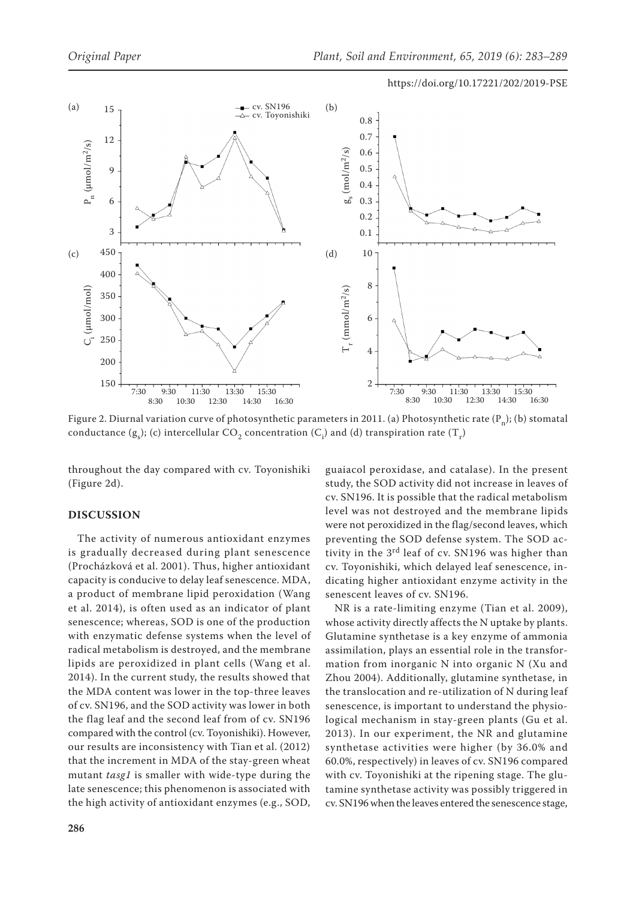

Figure 2. Diurnal variation curve of photosynthetic parameters in 2011. (a) Photosynthetic rate (P<sub>n</sub>); (b) stomatal conductance (g<sub>s</sub>); (c) intercellular CO<sub>2</sub> concentration (C<sub>i</sub>) and (d) transpiration rate (T<sub>r</sub>)

throughout the day compared with cv. Toyonishiki (Figure 2d).

#### **DISCUSSION**

The activity of numerous antioxidant enzymes is gradually decreased during plant senescence (Procházková et al. 2001). Thus, higher antioxidant capacity is conducive to delay leaf senescence. MDA, a product of membrane lipid peroxidation (Wang et al. 2014), is often used as an indicator of plant senescence; whereas, SOD is one of the production with enzymatic defense systems when the level of radical metabolism is destroyed, and the membrane lipids are peroxidized in plant cells (Wang et al. 2014). In the current study, the results showed that the MDA content was lower in the top-three leaves of cv. SN196, and the SOD activity was lower in both the flag leaf and the second leaf from of cv. SN196 compared with the control (cv. Toyonishiki). However, our results are inconsistency with Tian et al. (2012) that the increment in MDA of the stay-green wheat mutant *tasg1* is smaller with wide-type during the late senescence; this phenomenon is associated with the high activity of antioxidant enzymes (e.g., SOD,

guaiacol peroxidase, and catalase). In the present study, the SOD activity did not increase in leaves of cv. SN196. It is possible that the radical metabolism level was not destroyed and the membrane lipids were not peroxidized in the flag/second leaves, which preventing the SOD defense system. The SOD activity in the 3<sup>rd</sup> leaf of cv. SN196 was higher than cv. Toyonishiki, which delayed leaf senescence, indicating higher antioxidant enzyme activity in the senescent leaves of cv. SN196. NR is a rate-limiting enzyme (Tian et al. 2009),

whose activity directly affects the N uptake by plants. Glutamine synthetase is a key enzyme of ammonia assimilation, plays an essential role in the transformation from inorganic N into organic N (Xu and Zhou 2004). Additionally, glutamine synthetase, in the translocation and re-utilization of N during leaf senescence, is important to understand the physiological mechanism in stay-green plants (Gu et al. 2013). In our experiment, the NR and glutamine synthetase activities were higher (by 36.0% and 60.0%, respectively) in leaves of cv. SN196 compared with cv. Toyonishiki at the ripening stage. The glutamine synthetase activity was possibly triggered in cv. SN196 when the leaves entered the senescence stage,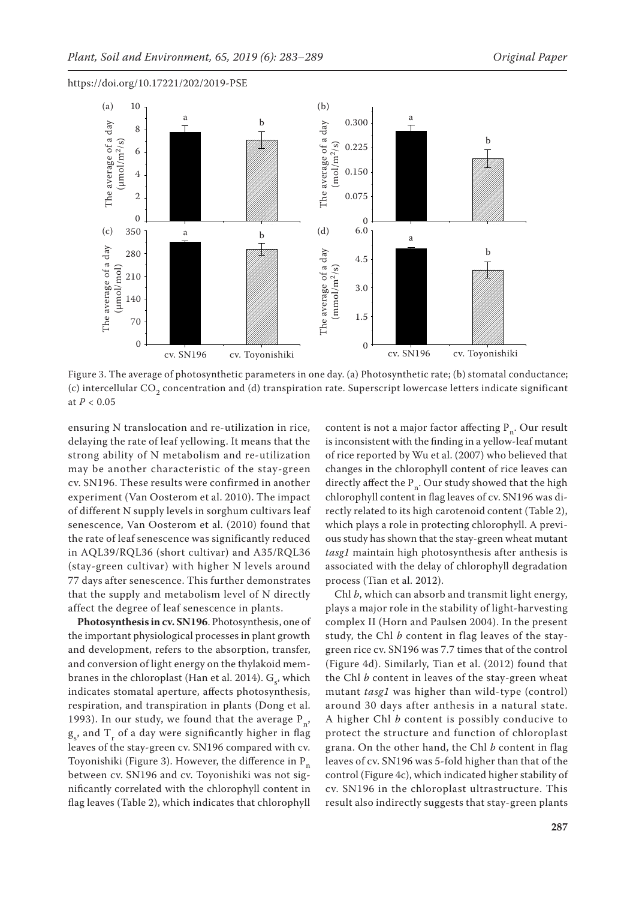



Figure 3. The average of photosynthetic parameters in one day. (a) Photosynthetic rate; (b) stomatal conductance; (c) intercellular CO<sub>2</sub> concentration and (d) transpiration rate. Superscript lowercase letters indicate significant at *P* < 0.05

ensuring N translocation and re-utilization in rice, delaying the rate of leaf yellowing. It means that the strong ability of N metabolism and re-utilization may be another characteristic of the stay-green cv. SN196. These results were confirmed in another experiment (Van Oosterom et al. 2010). The impact of different N supply levels in sorghum cultivars leaf senescence, Van Oosterom et al. (2010) found that the rate of leaf senescence was significantly reduced in AQL39/RQL36 (short cultivar) and A35/RQL36 (stay-green cultivar) with higher N levels around 77 days after senescence. This further demonstrates that the supply and metabolism level of N directly affect the degree of leaf senescence in plants.

**Photosynthesis in cv. SN196**. Photosynthesis, one of the important physiological processes in plant growth and development, refers to the absorption, transfer, and conversion of light energy on the thylakoid membranes in the chloroplast (Han et al. 2014).  $G_{s'}$ , which indicates stomatal aperture, affects photosynthesis, respiration, and transpiration in plants (Dong et al. 1993). In our study, we found that the average  $P_n$ ,  $g_s$ , and  $T_r$  of a day were significantly higher in flag leaves of the stay-green cv. SN196 compared with cv. Toyonishiki (Figure 3). However, the difference in  $P_n$ between cv. SN196 and cv. Toyonishiki was not significantly correlated with the chlorophyll content in flag leaves (Table 2), which indicates that chlorophyll

content is not a major factor affecting  $P_n$ . Our result is inconsistent with the finding in a yellow-leaf mutant of rice reported by Wu et al. (2007) who believed that changes in the chlorophyll content of rice leaves can directly affect the  $P_n$ . Our study showed that the high chlorophyll content in flag leaves of cv. SN196 was directly related to its high carotenoid content (Table 2), which plays a role in protecting chlorophyll. A previous study has shown that the stay-green wheat mutant *tasg1* maintain high photosynthesis after anthesis is associated with the delay of chlorophyll degradation process (Tian et al. 2012).

a

Chl *b*, which can absorb and transmit light energy, plays a major role in the stability of light-harvesting complex II (Horn and Paulsen 2004). In the present study, the Chl *b* content in flag leaves of the staygreen rice cv. SN196 was 7.7 times that of the control (Figure 4d). Similarly, Tian et al. (2012) found that the Chl *b* content in leaves of the stay-green wheat mutant *tasg1* was higher than wild-type (control) around 30 days after anthesis in a natural state. A higher Chl *b* content is possibly conducive to protect the structure and function of chloroplast grana. On the other hand, the Chl *b* content in flag leaves of cv. SN196 was 5-fold higher than that of the control (Figure 4c), which indicated higher stability of cv. SN196 in the chloroplast ultrastructure. This result also indirectly suggests that stay-green plants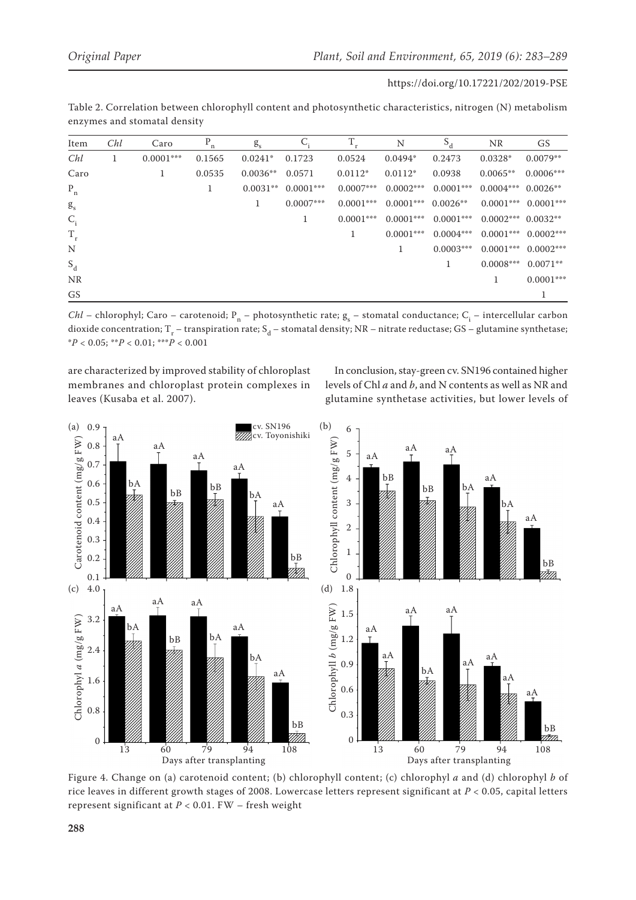| https://doi.org/10.17221/202/2019-PSE |  |
|---------------------------------------|--|
|---------------------------------------|--|

|                              | Table 2. Correlation between chlorophyll content and photosynthetic characteristics, nitrogen (N) metabolism |  |  |  |
|------------------------------|--------------------------------------------------------------------------------------------------------------|--|--|--|
| enzymes and stomatal density |                                                                                                              |  |  |  |

| Item                 | Chl | Caro        | n      | $g_{s}$    |             | T           | N           | $S_d$       | NR.                  | GS          |
|----------------------|-----|-------------|--------|------------|-------------|-------------|-------------|-------------|----------------------|-------------|
| Chl                  | 1   | $0.0001***$ | 0.1565 | $0.0241*$  | 0.1723      | 0.0524      | $0.0494*$   | 0.2473      | $0.0328*$            | $0.0079**$  |
| Caro                 |     | 1           | 0.0535 | $0.0036**$ | 0.0571      | $0.0112*$   | $0.0112*$   | 0.0938      | $0.0065**$           | $0.0006***$ |
| $\mathbf{P}_{\rm n}$ |     |             | Ι.     | $0.0031**$ | $0.0001***$ | $0.0007***$ | $0.0002***$ | $0.0001***$ | $0.0004***$          | $0.0026**$  |
| g <sub>s</sub>       |     |             |        | 1          | $0.0007***$ | $0.0001***$ | $0.0001***$ | $0.0026**$  | $0.0001***$          | $0.0001***$ |
| $C_i$                |     |             |        |            |             | $0.0001***$ | $0.0001***$ | $0.0001***$ | $0.0002***$ 0.0032** |             |
| $T_r$                |     |             |        |            |             | 1           | $0.0001***$ | $0.0004***$ | $0.0001***$          | $0.0002***$ |
| N                    |     |             |        |            |             |             |             | $0.0003***$ | $0.0001***$          | $0.0002***$ |
| $S_d$                |     |             |        |            |             |             |             |             | $0.0008***$          | $0.0071**$  |
| NR                   |     |             |        |            |             |             |             |             | 1                    | $0.0001***$ |
| GS                   |     |             |        |            |             |             |             |             |                      |             |

*Chl* – chlorophyl; Caro – carotenoid; P<sub>n</sub> – photosynthetic rate; g<sub>s</sub> – stomatal conductance; C<sub>i</sub> – intercellular carbon dioxide concentration; T<sub>r</sub> – transpiration rate; S<sub>d</sub> – stomatal density; NR – nitrate reductase; GS – glutamine synthetase; \**P* < 0.05; \*\**P* < 0.01; \*\*\**P* < 0.001

are characterized by improved stability of chloroplast membranes and chloroplast protein complexes in leaves (Kusaba et al. 2007).

In conclusion, stay-green cv. SN196 contained higher levels of Chl *a* and *b*, and N contents as well as NR and glutamine synthetase activities, but lower levels of



Figure 4. Change on (a) carotenoid content; (b) chlorophyll content; (c) chlorophyl *a* and (d) chlorophyl *b* of rice leaves in different growth stages of 2008. Lowercase letters represent significant at *P* < 0.05, capital letters represent significant at *P* < 0.01. FW – fresh weight